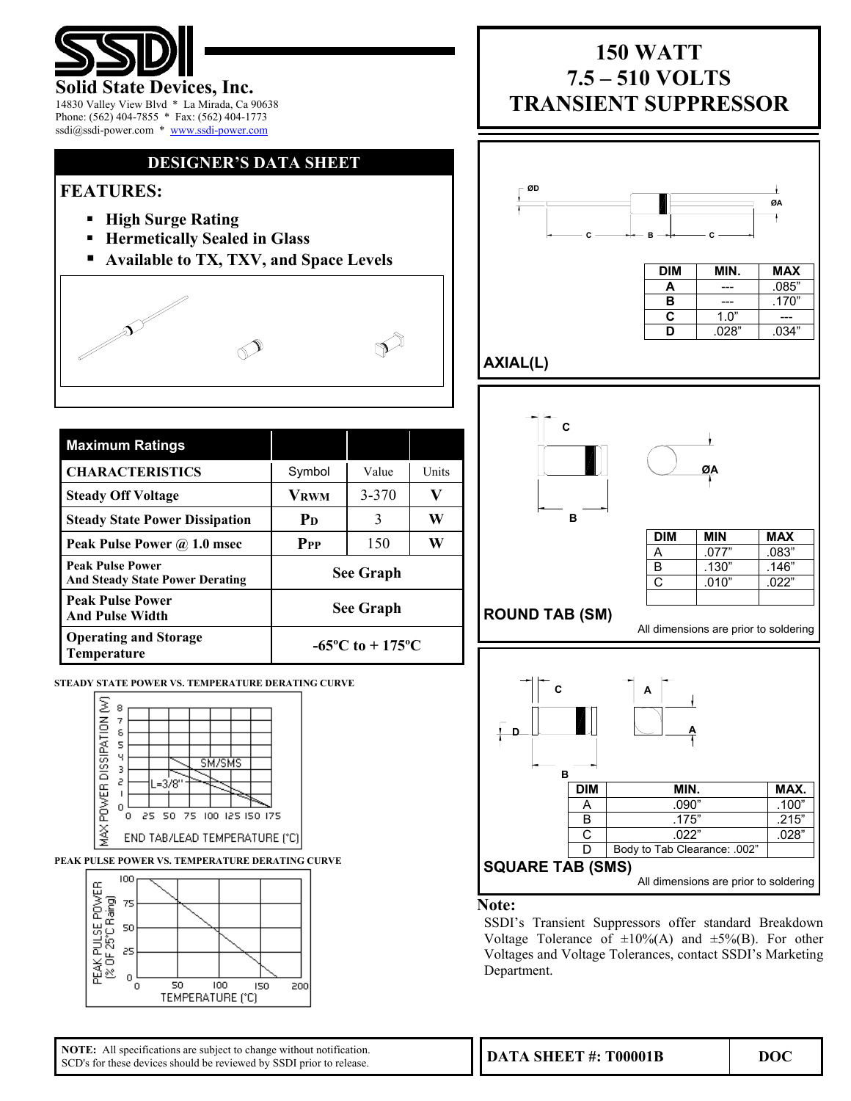

### **Solid State Devices, Inc.**

14830 Valley View Blvd \* La Mirada, Ca 90638 Phone: (562) 404-7855 \* Fax: (562) 404-1773 ssdi@ssdi-power.com \* www.ssdi-power.com

## **DESIGNER'S DATA SHEET**

## **FEATURES:**

- **High Surge Rating**
- **Hermetically Sealed in Glass**
- **Available to TX, TXV, and Space Levels**



| <b>Maximum Ratings</b>                                            |                                     |       |       |  |
|-------------------------------------------------------------------|-------------------------------------|-------|-------|--|
| <b>CHARACTERISTICS</b>                                            | Symbol                              | Value | Units |  |
| <b>Steady Off Voltage</b>                                         | <b>VRWM</b>                         | 3-370 | V     |  |
| <b>Steady State Power Dissipation</b>                             | $P_{D}$                             | 3     | W     |  |
| Peak Pulse Power @ 1.0 msec                                       | P <sub>PP</sub>                     | 150   | W     |  |
| <b>Peak Pulse Power</b><br><b>And Steady State Power Derating</b> | <b>See Graph</b>                    |       |       |  |
| <b>Peak Pulse Power</b><br><b>And Pulse Width</b>                 | <b>See Graph</b>                    |       |       |  |
| <b>Operating and Storage</b><br>Temperature                       | $-65^{\circ}$ C to $+175^{\circ}$ C |       |       |  |

**STEADY STATE POWER VS. TEMPERATURE DERATING CURVE** 



**PEAK PULSE POWER VS. TEMPERATURE DERATING CURVE** 



# **150 WATT 7.5 – 510 VOLTS TRANSIENT SUPPRESSOR**



**C** 1.0" ---**D** .028" .034"

## **AXIAL(L)**



## **C B A A D** DIM MIN. MAX. A .090" .100"<br>B .175" .215"  $.215"$  $\begin{array}{|c|c|c|c|}\n\hline\n\text{C} & .022" & .028" \\
\hline\n\text{D} & \text{Body to Tab Clearance: .002"} & \hline\n\end{array}$ Body to Tab Clearance: .002' **SQUARE TAB (SMS)** All dimensions are prior to soldering

### **Note:**

SSDI's Transient Suppressors offer standard Breakdown Voltage Tolerance of  $\pm 10\%$ (A) and  $\pm 5\%$ (B). For other Voltages and Voltage Tolerances, contact SSDI's Marketing Department.

**NOTE:** All specifications are subject to change without notification. SCD's for these devices should be reviewed by SSDI prior to release.

**DATA SHEET #: T00001B DOC**